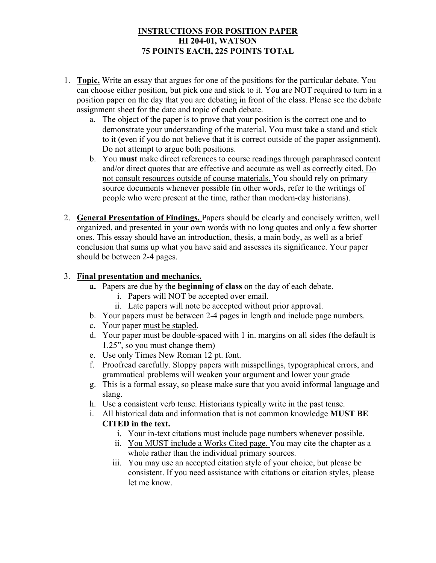# **INSTRUCTIONS FOR POSITION PAPER HI 204-01, WATSON 75 POINTS EACH, 225 POINTS TOTAL**

- 1. **Topic.** Write an essay that argues for one of the positions for the particular debate. You can choose either position, but pick one and stick to it. You are NOT required to turn in a position paper on the day that you are debating in front of the class. Please see the debate assignment sheet for the date and topic of each debate.
	- a. The object of the paper is to prove that your position is the correct one and to demonstrate your understanding of the material. You must take a stand and stick to it (even if you do not believe that it is correct outside of the paper assignment). Do not attempt to argue both positions.
	- b. You **must** make direct references to course readings through paraphrased content and/or direct quotes that are effective and accurate as well as correctly cited. Do not consult resources outside of course materials. You should rely on primary source documents whenever possible (in other words, refer to the writings of people who were present at the time, rather than modern-day historians).
- 2. **General Presentation of Findings.** Papers should be clearly and concisely written, well organized, and presented in your own words with no long quotes and only a few shorter ones. This essay should have an introduction, thesis, a main body, as well as a brief conclusion that sums up what you have said and assesses its significance. Your paper should be between 2-4 pages.

# 3. **Final presentation and mechanics.**

- **a.** Papers are due by the **beginning of class** on the day of each debate.
	- i. Papers will NOT be accepted over email.
	- ii. Late papers will note be accepted without prior approval.
- b. Your papers must be between 2-4 pages in length and include page numbers.
- c. Your paper must be stapled.
- d. Your paper must be double-spaced with 1 in. margins on all sides (the default is 1.25", so you must change them)
- e. Use only Times New Roman 12 pt. font.
- f. Proofread carefully. Sloppy papers with misspellings, typographical errors, and grammatical problems will weaken your argument and lower your grade
- g. This is a formal essay, so please make sure that you avoid informal language and slang.
- h. Use a consistent verb tense. Historians typically write in the past tense.
- i. All historical data and information that is not common knowledge **MUST BE CITED in the text.** 
	- i. Your in-text citations must include page numbers whenever possible.
	- ii. You MUST include a Works Cited page. You may cite the chapter as a whole rather than the individual primary sources.
	- iii. You may use an accepted citation style of your choice, but please be consistent. If you need assistance with citations or citation styles, please let me know.